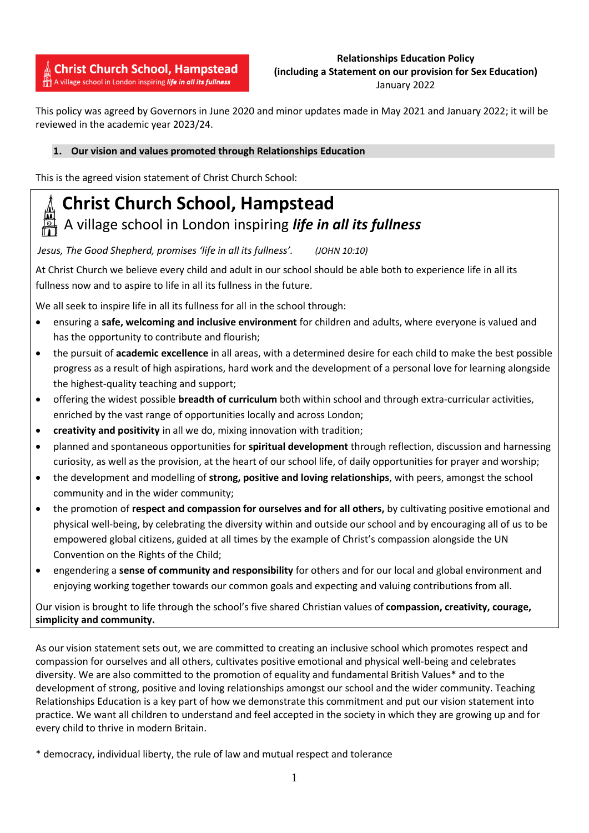**Christ Church School, Hampstead** A village school in London inspiring life in all its fullness

# **Relationships Education Policy (including a Statement on our provision for Sex Education)** January 2022

This policy was agreed by Governors in June 2020 and minor updates made in May 2021 and January 2022; it will be reviewed in the academic year 2023/24.

# **1. Our vision and values promoted through Relationships Education**

This is the agreed vision statement of Christ Church School: 

# **Christ Church School, Hampstead**

# A village school in London inspiring *life in all its fullness*

*Jesus, The Good Shepherd, promises 'life in all its fullness'. (JOHN 10:10)*

At Christ Church we believe every child and adult in our school should be able both to experience life in all its fullness now and to aspire to life in all its fullness in the future.

We all seek to inspire life in all its fullness for all in the school through:

- ensuring a **safe, welcoming and inclusive environment** for children and adults, where everyone is valued and has the opportunity to contribute and flourish;
- the pursuit of **academic excellence** in all areas, with a determined desire for each child to make the best possible progress as a result of high aspirations, hard work and the development of a personal love for learning alongside the highest-quality teaching and support;
- offering the widest possible **breadth of curriculum** both within school and through extra-curricular activities, enriched by the vast range of opportunities locally and across London;
- **creativity and positivity** in all we do, mixing innovation with tradition;
- planned and spontaneous opportunities for **spiritual development** through reflection, discussion and harnessing curiosity, as well as the provision, at the heart of our school life, of daily opportunities for prayer and worship;
- the development and modelling of **strong, positive and loving relationships**, with peers, amongst the school community and in the wider community;
- the promotion of **respect and compassion for ourselves and for all others,** by cultivating positive emotional and physical well-being, by celebrating the diversity within and outside our school and by encouraging all of us to be empowered global citizens, guided at all times by the example of Christ's compassion alongside the UN Convention on the Rights of the Child;
- engendering a **sense of community and responsibility** for others and for our local and global environment and enjoying working together towards our common goals and expecting and valuing contributions from all.

Our vision is brought to life through the school's five shared Christian values of **compassion, creativity, courage, simplicity and community.**

As our vision statement sets out, we are committed to creating an inclusive school which promotes respect and compassion for ourselves and all others, cultivates positive emotional and physical well-being and celebrates diversity. We are also committed to the promotion of equality and fundamental British Values\* and to the development of strong, positive and loving relationships amongst our school and the wider community. Teaching Relationships Education is a key part of how we demonstrate this commitment and put our vision statement into practice. We want all children to understand and feel accepted in the society in which they are growing up and for every child to thrive in modern Britain.

\* democracy, individual liberty, the rule of law and mutual respect and tolerance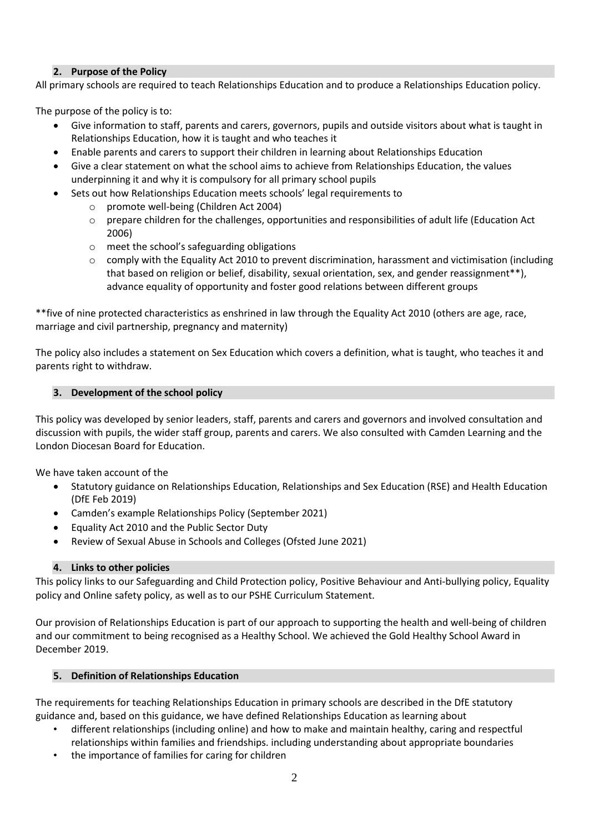# **2. Purpose of the Policy**

All primary schools are required to teach Relationships Education and to produce a Relationships Education policy.

The purpose of the policy is to:

- Give information to staff, parents and carers, governors, pupils and outside visitors about what is taught in Relationships Education, how it is taught and who teaches it
- Enable parents and carers to support their children in learning about Relationships Education
- Give a clear statement on what the school aims to achieve from Relationships Education, the values underpinning it and why it is compulsory for all primary school pupils
- Sets out how Relationships Education meets schools' legal requirements to
	- o promote well-being (Children Act 2004)
	- $\circ$  prepare children for the challenges, opportunities and responsibilities of adult life (Education Act 2006)
	- o meet the school's safeguarding obligations
	- $\circ$  comply with the Equality Act 2010 to prevent discrimination, harassment and victimisation (including that based on religion or belief, disability, sexual orientation, sex, and gender reassignment\*\*), advance equality of opportunity and foster good relations between different groups

\*\*five of nine protected characteristics as enshrined in law through the Equality Act 2010 (others are age, race, marriage and civil partnership, pregnancy and maternity)

The policy also includes a statement on Sex Education which covers a definition, what is taught, who teaches it and parents right to withdraw.

# **3. Development of the school policy**

This policy was developed by senior leaders, staff, parents and carers and governors and involved consultation and discussion with pupils, the wider staff group, parents and carers. We also consulted with Camden Learning and the London Diocesan Board for Education.

We have taken account of the

- Statutory guidance on Relationships Education, Relationships and Sex Education (RSE) and Health Education (DfE Feb 2019)
- Camden's example Relationships Policy (September 2021)
- Equality Act 2010 and the Public Sector Duty
- Review of Sexual Abuse in Schools and Colleges (Ofsted June 2021)

# **4. Links to other policies**

This policy links to our Safeguarding and Child Protection policy, Positive Behaviour and Anti-bullying policy, Equality policy and Online safety policy, as well as to our PSHE Curriculum Statement.

Our provision of Relationships Education is part of our approach to supporting the health and well-being of children and our commitment to being recognised as a Healthy School. We achieved the Gold Healthy School Award in December 2019.

#### **5. Definition of Relationships Education**

The requirements for teaching Relationships Education in primary schools are described in the DfE statutory guidance and, based on this guidance, we have defined Relationships Education as learning about

- different relationships (including online) and how to make and maintain healthy, caring and respectful relationships within families and friendships. including understanding about appropriate boundaries
- the importance of families for caring for children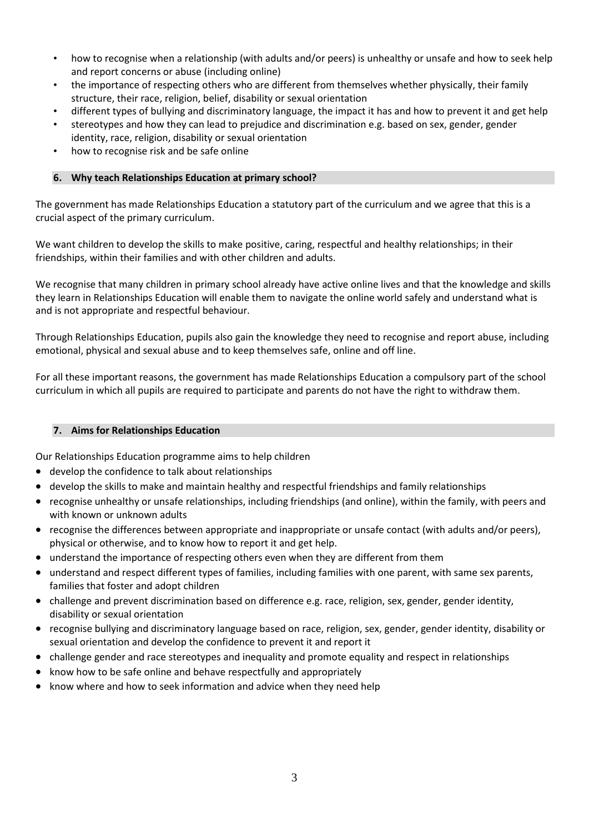- how to recognise when a relationship (with adults and/or peers) is unhealthy or unsafe and how to seek help and report concerns or abuse (including online)
- the importance of respecting others who are different from themselves whether physically, their family structure, their race, religion, belief, disability or sexual orientation
- different types of bullying and discriminatory language, the impact it has and how to prevent it and get help
- stereotypes and how they can lead to prejudice and discrimination e.g. based on sex, gender, gender identity, race, religion, disability or sexual orientation
- how to recognise risk and be safe online

#### **6. Why teach Relationships Education at primary school?**

The government has made Relationships Education a statutory part of the curriculum and we agree that this is a crucial aspect of the primary curriculum.

We want children to develop the skills to make positive, caring, respectful and healthy relationships; in their friendships, within their families and with other children and adults.

We recognise that many children in primary school already have active online lives and that the knowledge and skills they learn in Relationships Education will enable them to navigate the online world safely and understand what is and is not appropriate and respectful behaviour.

Through Relationships Education, pupils also gain the knowledge they need to recognise and report abuse, including emotional, physical and sexual abuse and to keep themselves safe, online and off line.

For all these important reasons, the government has made Relationships Education a compulsory part of the school curriculum in which all pupils are required to participate and parents do not have the right to withdraw them.

#### **7. Aims for Relationships Education**

Our Relationships Education programme aims to help children

- develop the confidence to talk about relationships
- develop the skills to make and maintain healthy and respectful friendships and family relationships
- recognise unhealthy or unsafe relationships, including friendships (and online), within the family, with peers and with known or unknown adults
- recognise the differences between appropriate and inappropriate or unsafe contact (with adults and/or peers), physical or otherwise, and to know how to report it and get help.
- understand the importance of respecting others even when they are different from them
- understand and respect different types of families, including families with one parent, with same sex parents, families that foster and adopt children
- challenge and prevent discrimination based on difference e.g. race, religion, sex, gender, gender identity, disability or sexual orientation
- recognise bullying and discriminatory language based on race, religion, sex, gender, gender identity, disability or sexual orientation and develop the confidence to prevent it and report it
- challenge gender and race stereotypes and inequality and promote equality and respect in relationships
- know how to be safe online and behave respectfully and appropriately
- know where and how to seek information and advice when they need help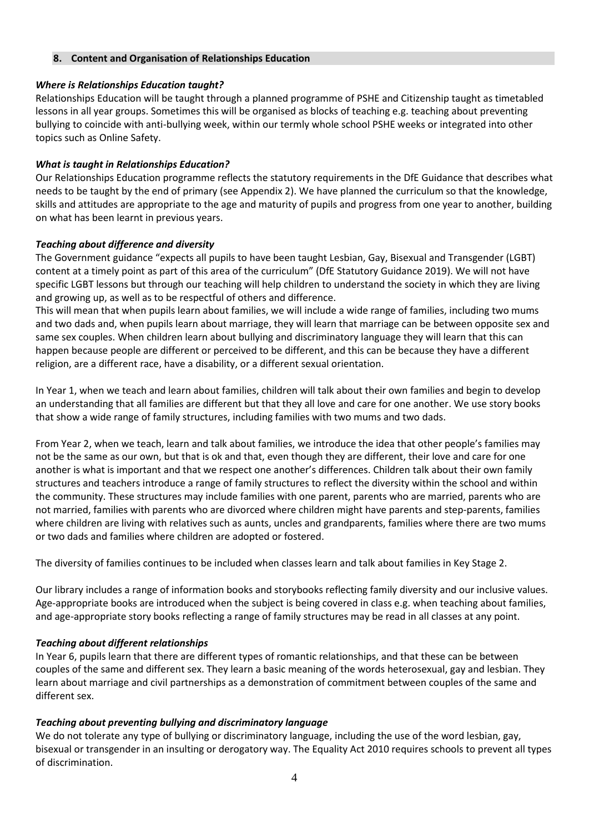# **8. Content and Organisation of Relationships Education**

# *Where is Relationships Education taught?*

Relationships Education will be taught through a planned programme of PSHE and Citizenship taught as timetabled lessons in all year groups. Sometimes this will be organised as blocks of teaching e.g. teaching about preventing bullying to coincide with anti-bullying week, within our termly whole school PSHE weeks or integrated into other topics such as Online Safety.

# *What is taught in Relationships Education?*

Our Relationships Education programme reflects the statutory requirements in the DfE Guidance that describes what needs to be taught by the end of primary (see Appendix 2). We have planned the curriculum so that the knowledge, skills and attitudes are appropriate to the age and maturity of pupils and progress from one year to another, building on what has been learnt in previous years.

# *Teaching about difference and diversity*

The Government guidance "expects all pupils to have been taught Lesbian, Gay, Bisexual and Transgender (LGBT) content at a timely point as part of this area of the curriculum" (DfE Statutory Guidance 2019). We will not have specific LGBT lessons but through our teaching will help children to understand the society in which they are living and growing up, as well as to be respectful of others and difference.

This will mean that when pupils learn about families, we will include a wide range of families, including two mums and two dads and, when pupils learn about marriage, they will learn that marriage can be between opposite sex and same sex couples. When children learn about bullying and discriminatory language they will learn that this can happen because people are different or perceived to be different, and this can be because they have a different religion, are a different race, have a disability, or a different sexual orientation.

In Year 1, when we teach and learn about families, children will talk about their own families and begin to develop an understanding that all families are different but that they all love and care for one another. We use story books that show a wide range of family structures, including families with two mums and two dads.

From Year 2, when we teach, learn and talk about families, we introduce the idea that other people's families may not be the same as our own, but that is ok and that, even though they are different, their love and care for one another is what is important and that we respect one another's differences. Children talk about their own family structures and teachers introduce a range of family structures to reflect the diversity within the school and within the community. These structures may include families with one parent, parents who are married, parents who are not married, families with parents who are divorced where children might have parents and step-parents, families where children are living with relatives such as aunts, uncles and grandparents, families where there are two mums or two dads and families where children are adopted or fostered.

The diversity of families continues to be included when classes learn and talk about families in Key Stage 2.

Our library includes a range of information books and storybooks reflecting family diversity and our inclusive values. Age-appropriate books are introduced when the subject is being covered in class e.g. when teaching about families, and age-appropriate story books reflecting a range of family structures may be read in all classes at any point.

#### *Teaching about different relationships*

In Year 6, pupils learn that there are different types of romantic relationships, and that these can be between couples of the same and different sex. They learn a basic meaning of the words heterosexual, gay and lesbian. They learn about marriage and civil partnerships as a demonstration of commitment between couples of the same and different sex.

# *Teaching about preventing bullying and discriminatory language*

We do not tolerate any type of bullying or discriminatory language, including the use of the word lesbian, gay, bisexual or transgender in an insulting or derogatory way. The Equality Act 2010 requires schools to prevent all types of discrimination.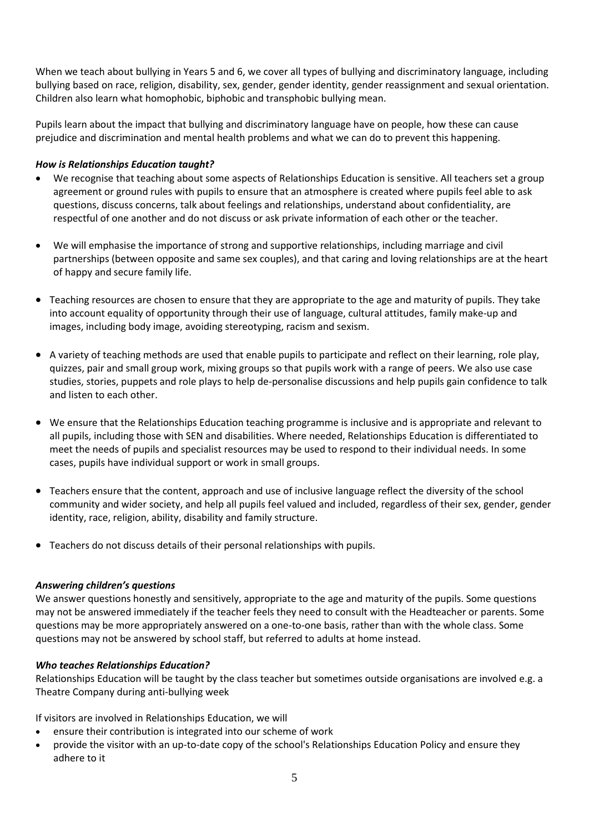When we teach about bullying in Years 5 and 6, we cover all types of bullying and discriminatory language, including bullying based on race, religion, disability, sex, gender, gender identity, gender reassignment and sexual orientation. Children also learn what homophobic, biphobic and transphobic bullying mean.

Pupils learn about the impact that bullying and discriminatory language have on people, how these can cause prejudice and discrimination and mental health problems and what we can do to prevent this happening.

# *How is Relationships Education taught?*

- We recognise that teaching about some aspects of Relationships Education is sensitive. All teachers set a group agreement or ground rules with pupils to ensure that an atmosphere is created where pupils feel able to ask questions, discuss concerns, talk about feelings and relationships, understand about confidentiality, are respectful of one another and do not discuss or ask private information of each other or the teacher.
- We will emphasise the importance of strong and supportive relationships, including marriage and civil partnerships (between opposite and same sex couples), and that caring and loving relationships are at the heart of happy and secure family life.
- Teaching resources are chosen to ensure that they are appropriate to the age and maturity of pupils. They take into account equality of opportunity through their use of language, cultural attitudes, family make-up and images, including body image, avoiding stereotyping, racism and sexism.
- A variety of teaching methods are used that enable pupils to participate and reflect on their learning, role play, quizzes, pair and small group work, mixing groups so that pupils work with a range of peers. We also use case studies, stories, puppets and role plays to help de-personalise discussions and help pupils gain confidence to talk and listen to each other.
- We ensure that the Relationships Education teaching programme is inclusive and is appropriate and relevant to all pupils, including those with SEN and disabilities. Where needed, Relationships Education is differentiated to meet the needs of pupils and specialist resources may be used to respond to their individual needs. In some cases, pupils have individual support or work in small groups.
- Teachers ensure that the content, approach and use of inclusive language reflect the diversity of the school community and wider society, and help all pupils feel valued and included, regardless of their sex, gender, gender identity, race, religion, ability, disability and family structure.
- Teachers do not discuss details of their personal relationships with pupils.

#### *Answering children's questions*

We answer questions honestly and sensitively, appropriate to the age and maturity of the pupils. Some questions may not be answered immediately if the teacher feels they need to consult with the Headteacher or parents. Some questions may be more appropriately answered on a one-to-one basis, rather than with the whole class. Some questions may not be answered by school staff, but referred to adults at home instead.

#### *Who teaches Relationships Education?*

Relationships Education will be taught by the class teacher but sometimes outside organisations are involved e.g. a Theatre Company during anti-bullying week

If visitors are involved in Relationships Education, we will

- ensure their contribution is integrated into our scheme of work
- provide the visitor with an up-to-date copy of the school's Relationships Education Policy and ensure they adhere to it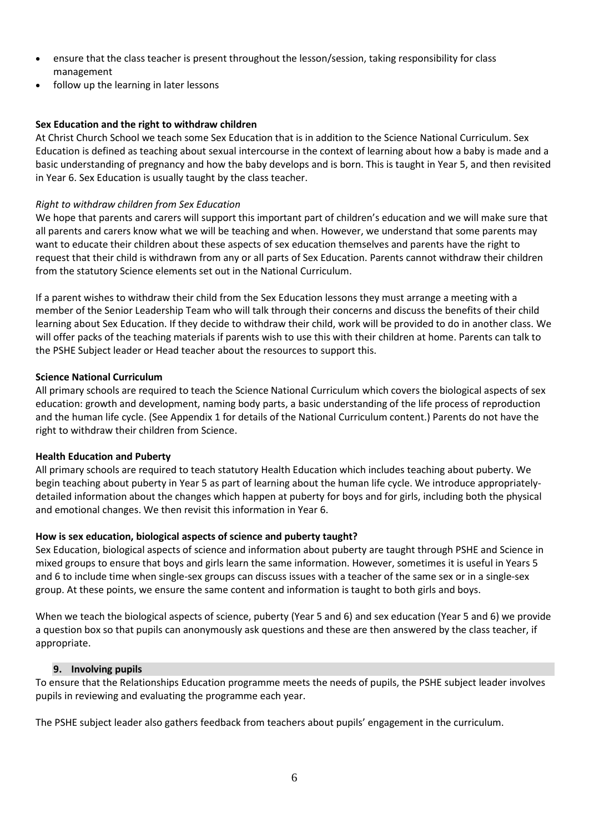- ensure that the class teacher is present throughout the lesson/session, taking responsibility for class management
- follow up the learning in later lessons

#### **Sex Education and the right to withdraw children**

At Christ Church School we teach some Sex Education that is in addition to the Science National Curriculum. Sex Education is defined as teaching about sexual intercourse in the context of learning about how a baby is made and a basic understanding of pregnancy and how the baby develops and is born. This is taught in Year 5, and then revisited in Year 6. Sex Education is usually taught by the class teacher.

# *Right to withdraw children from Sex Education*

We hope that parents and carers will support this important part of children's education and we will make sure that all parents and carers know what we will be teaching and when. However, we understand that some parents may want to educate their children about these aspects of sex education themselves and parents have the right to request that their child is withdrawn from any or all parts of Sex Education. Parents cannot withdraw their children from the statutory Science elements set out in the National Curriculum.

If a parent wishes to withdraw their child from the Sex Education lessons they must arrange a meeting with a member of the Senior Leadership Team who will talk through their concerns and discuss the benefits of their child learning about Sex Education. If they decide to withdraw their child, work will be provided to do in another class. We will offer packs of the teaching materials if parents wish to use this with their children at home. Parents can talk to the PSHE Subject leader or Head teacher about the resources to support this.

#### **Science National Curriculum**

All primary schools are required to teach the Science National Curriculum which covers the biological aspects of sex education: growth and development, naming body parts, a basic understanding of the life process of reproduction and the human life cycle. (See Appendix 1 for details of the National Curriculum content.) Parents do not have the right to withdraw their children from Science.

#### **Health Education and Puberty**

All primary schools are required to teach statutory Health Education which includes teaching about puberty. We begin teaching about puberty in Year 5 as part of learning about the human life cycle. We introduce appropriatelydetailed information about the changes which happen at puberty for boys and for girls, including both the physical and emotional changes. We then revisit this information in Year 6.

#### **How is sex education, biological aspects of science and puberty taught?**

Sex Education, biological aspects of science and information about puberty are taught through PSHE and Science in mixed groups to ensure that boys and girls learn the same information. However, sometimes it is useful in Years 5 and 6 to include time when single-sex groups can discuss issues with a teacher of the same sex or in a single-sex group. At these points, we ensure the same content and information is taught to both girls and boys.

When we teach the biological aspects of science, puberty (Year 5 and 6) and sex education (Year 5 and 6) we provide a question box so that pupils can anonymously ask questions and these are then answered by the class teacher, if appropriate.

#### **9. Involving pupils**

To ensure that the Relationships Education programme meets the needs of pupils, the PSHE subject leader involves pupils in reviewing and evaluating the programme each year.

The PSHE subject leader also gathers feedback from teachers about pupils' engagement in the curriculum.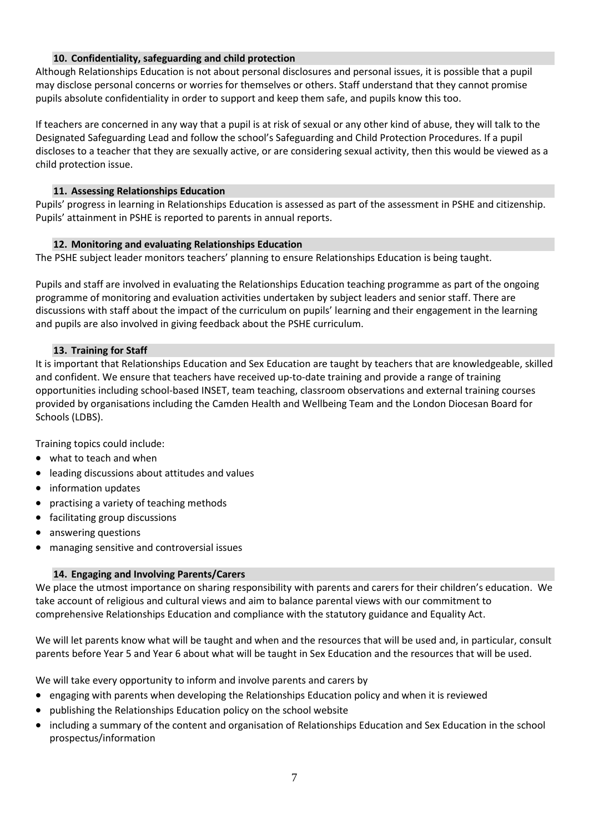# **10. Confidentiality, safeguarding and child protection**

Although Relationships Education is not about personal disclosures and personal issues, it is possible that a pupil may disclose personal concerns or worries for themselves or others. Staff understand that they cannot promise pupils absolute confidentiality in order to support and keep them safe, and pupils know this too.

If teachers are concerned in any way that a pupil is at risk of sexual or any other kind of abuse, they will talk to the Designated Safeguarding Lead and follow the school's Safeguarding and Child Protection Procedures. If a pupil discloses to a teacher that they are sexually active, or are considering sexual activity, then this would be viewed as a child protection issue.

#### **11. Assessing Relationships Education**

Pupils' progress in learning in Relationships Education is assessed as part of the assessment in PSHE and citizenship. Pupils' attainment in PSHE is reported to parents in annual reports.

# **12. Monitoring and evaluating Relationships Education**

The PSHE subject leader monitors teachers' planning to ensure Relationships Education is being taught.

Pupils and staff are involved in evaluating the Relationships Education teaching programme as part of the ongoing programme of monitoring and evaluation activities undertaken by subject leaders and senior staff. There are discussions with staff about the impact of the curriculum on pupils' learning and their engagement in the learning and pupils are also involved in giving feedback about the PSHE curriculum.

# **13. Training for Staff**

It is important that Relationships Education and Sex Education are taught by teachers that are knowledgeable, skilled and confident. We ensure that teachers have received up-to-date training and provide a range of training opportunities including school-based INSET, team teaching, classroom observations and external training courses provided by organisations including the Camden Health and Wellbeing Team and the London Diocesan Board for Schools (LDBS).

Training topics could include:

- what to teach and when
- leading discussions about attitudes and values
- information updates
- practising a variety of teaching methods
- facilitating group discussions
- answering questions
- managing sensitive and controversial issues

# **14. Engaging and Involving Parents/Carers**

We place the utmost importance on sharing responsibility with parents and carers for their children's education. We take account of religious and cultural views and aim to balance parental views with our commitment to comprehensive Relationships Education and compliance with the statutory guidance and Equality Act.

We will let parents know what will be taught and when and the resources that will be used and, in particular, consult parents before Year 5 and Year 6 about what will be taught in Sex Education and the resources that will be used.

We will take every opportunity to inform and involve parents and carers by

- engaging with parents when developing the Relationships Education policy and when it is reviewed
- publishing the Relationships Education policy on the school website
- including a summary of the content and organisation of Relationships Education and Sex Education in the school prospectus/information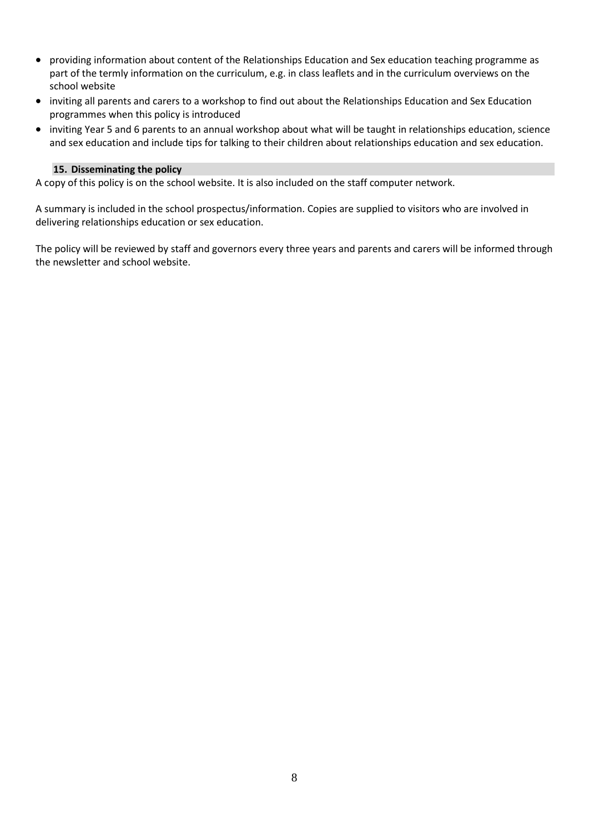- providing information about content of the Relationships Education and Sex education teaching programme as part of the termly information on the curriculum, e.g. in class leaflets and in the curriculum overviews on the school website
- inviting all parents and carers to a workshop to find out about the Relationships Education and Sex Education programmes when this policy is introduced
- inviting Year 5 and 6 parents to an annual workshop about what will be taught in relationships education, science and sex education and include tips for talking to their children about relationships education and sex education.

#### **15. Disseminating the policy**

A copy of this policy is on the school website. It is also included on the staff computer network.

A summary is included in the school prospectus/information. Copies are supplied to visitors who are involved in delivering relationships education or sex education.

The policy will be reviewed by staff and governors every three years and parents and carers will be informed through the newsletter and school website.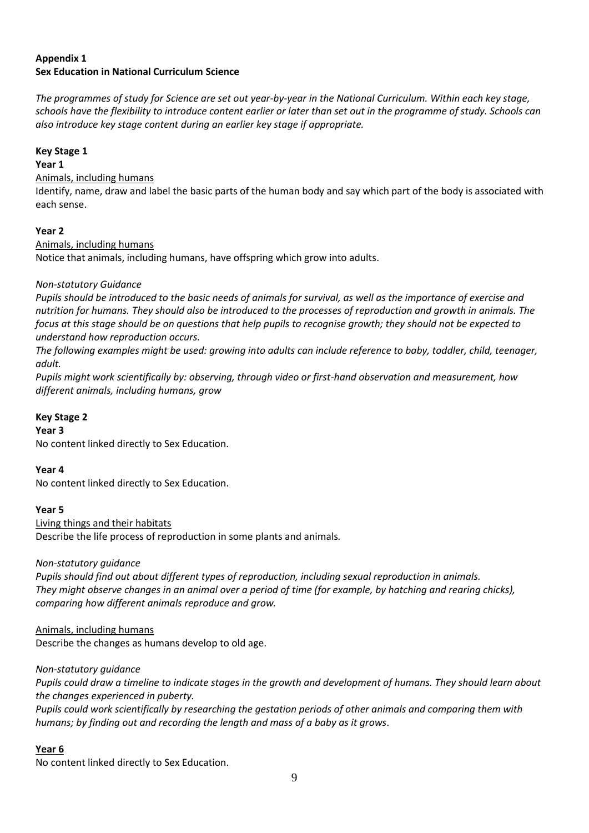# **Appendix 1 Sex Education in National Curriculum Science**

*The programmes of study for Science are set out year-by-year in the National Curriculum. Within each key stage, schools have the flexibility to introduce content earlier or later than set out in the programme of study. Schools can also introduce key stage content during an earlier key stage if appropriate.* 

# **Key Stage 1**

#### **Year 1**

Animals, including humans

Identify, name, draw and label the basic parts of the human body and say which part of the body is associated with each sense.

# **Year 2**

# Animals, including humans

Notice that animals, including humans, have offspring which grow into adults.

# *Non-statutory Guidance*

*Pupils should be introduced to the basic needs of animals for survival, as well as the importance of exercise and nutrition for humans. They should also be introduced to the processes of reproduction and growth in animals. The focus at this stage should be on questions that help pupils to recognise growth; they should not be expected to understand how reproduction occurs.* 

*The following examples might be used: growing into adults can include reference to baby, toddler, child, teenager, adult.* 

*Pupils might work scientifically by: observing, through video or first-hand observation and measurement, how different animals, including humans, grow*

# **Key Stage 2**

#### **Year 3**

No content linked directly to Sex Education.

#### **Year 4**

No content linked directly to Sex Education.

#### **Year 5**

Living things and their habitats Describe the life process of reproduction in some plants and animals*.* 

# *Non-statutory guidance*

*Pupils should find out about different types of reproduction, including sexual reproduction in animals. They might observe changes in an animal over a period of time (for example, by hatching and rearing chicks), comparing how different animals reproduce and grow.*

Animals, including humans Describe the changes as humans develop to old age.

*Non-statutory guidance*

*Pupils could draw a timeline to indicate stages in the growth and development of humans. They should learn about the changes experienced in puberty.* 

*Pupils could work scientifically by researching the gestation periods of other animals and comparing them with humans; by finding out and recording the length and mass of a baby as it grows*.

# **Year 6**

No content linked directly to Sex Education.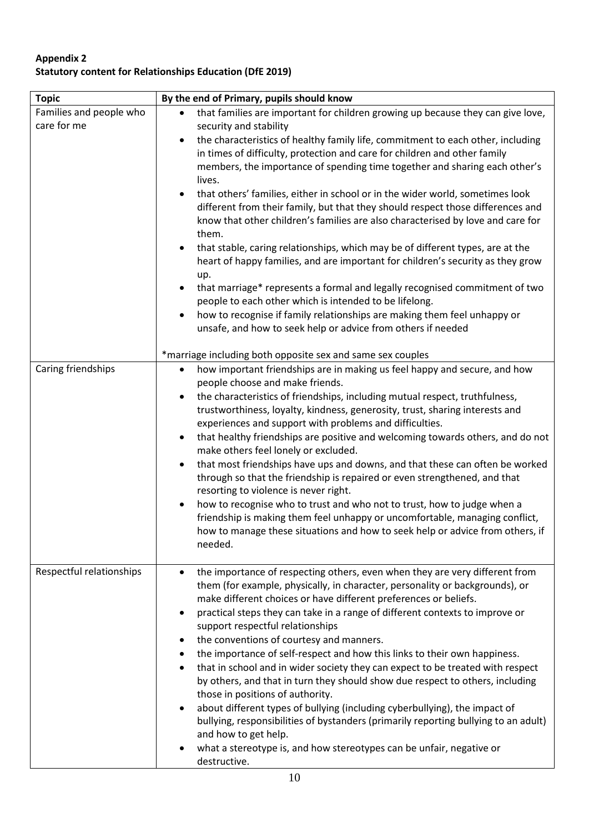# **Appendix 2 Statutory content for Relationships Education (DfE 2019)**

| <b>Topic</b>                           | By the end of Primary, pupils should know                                                                                                                                                                                                                                                                                                                                                                                                                                                                                                                                                                                                                                                                                                                                                                                                                                                                                                                                                                                                                                                          |
|----------------------------------------|----------------------------------------------------------------------------------------------------------------------------------------------------------------------------------------------------------------------------------------------------------------------------------------------------------------------------------------------------------------------------------------------------------------------------------------------------------------------------------------------------------------------------------------------------------------------------------------------------------------------------------------------------------------------------------------------------------------------------------------------------------------------------------------------------------------------------------------------------------------------------------------------------------------------------------------------------------------------------------------------------------------------------------------------------------------------------------------------------|
| Families and people who<br>care for me | that families are important for children growing up because they can give love,<br>security and stability<br>the characteristics of healthy family life, commitment to each other, including<br>in times of difficulty, protection and care for children and other family<br>members, the importance of spending time together and sharing each other's<br>lives.<br>that others' families, either in school or in the wider world, sometimes look<br>different from their family, but that they should respect those differences and<br>know that other children's families are also characterised by love and care for<br>them.<br>that stable, caring relationships, which may be of different types, are at the<br>heart of happy families, and are important for children's security as they grow<br>up.<br>that marriage* represents a formal and legally recognised commitment of two<br>people to each other which is intended to be lifelong.<br>how to recognise if family relationships are making them feel unhappy or<br>unsafe, and how to seek help or advice from others if needed |
| Caring friendships                     | *marriage including both opposite sex and same sex couples<br>how important friendships are in making us feel happy and secure, and how<br>$\bullet$<br>people choose and make friends.<br>the characteristics of friendships, including mutual respect, truthfulness,<br>$\bullet$<br>trustworthiness, loyalty, kindness, generosity, trust, sharing interests and<br>experiences and support with problems and difficulties.<br>that healthy friendships are positive and welcoming towards others, and do not<br>$\bullet$<br>make others feel lonely or excluded.<br>that most friendships have ups and downs, and that these can often be worked<br>$\bullet$<br>through so that the friendship is repaired or even strengthened, and that<br>resorting to violence is never right.<br>how to recognise who to trust and who not to trust, how to judge when a<br>$\bullet$<br>friendship is making them feel unhappy or uncomfortable, managing conflict,<br>how to manage these situations and how to seek help or advice from others, if<br>needed.                                        |
| Respectful relationships               | the importance of respecting others, even when they are very different from<br>them (for example, physically, in character, personality or backgrounds), or<br>make different choices or have different preferences or beliefs.<br>practical steps they can take in a range of different contexts to improve or<br>support respectful relationships<br>the conventions of courtesy and manners.<br>the importance of self-respect and how this links to their own happiness.<br>that in school and in wider society they can expect to be treated with respect<br>by others, and that in turn they should show due respect to others, including<br>those in positions of authority.<br>about different types of bullying (including cyberbullying), the impact of<br>bullying, responsibilities of bystanders (primarily reporting bullying to an adult)<br>and how to get help.<br>what a stereotype is, and how stereotypes can be unfair, negative or<br>destructive.                                                                                                                           |